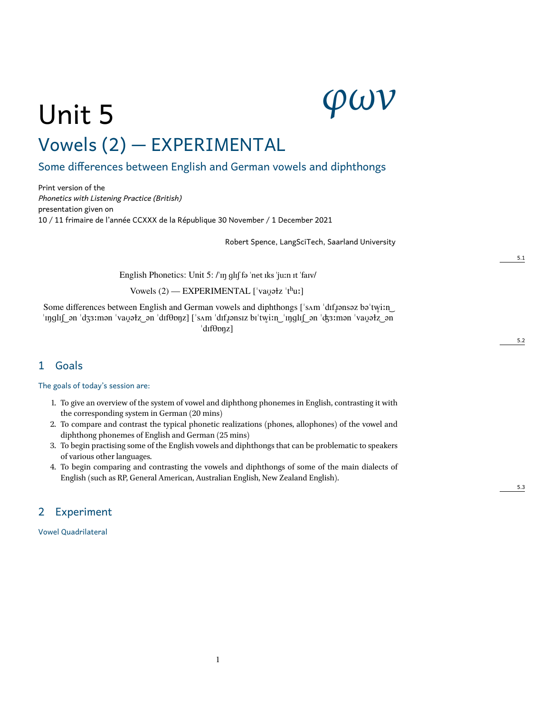# *φων*

# Unit 5 Vowels (2) — EXPERIMENTAL

# 1 Some differences between English and German vowels and diphthongs

Print version of the *Phonetics with Listening Practice (British)* presentation given on 10 / 11 frimaire de l'année CCXXX de la République 30 November / 1 December 2021

Robert Spence, LangSciTech, Saarland University

English Phonetics: Unit 5: /ˈɪŋ ɡlɪʃ fə ˈnet ɪks ˈjuːn ɪt ˈfaɪv/

Vowels (2) — EXPERIMENTAL ['vayətz 'thuː]

Some differences between English and German vowels and diphthongs ['sʌm 'dɪfˌɪənsəz bə'tw̯iːn ] ˈɪŋɡlɪʃ ͜ ən ˈdʒɜːmən ˈvaʊ̯əɫz ͜ ən ˈdɪfθɒŋz] [ˈsʌm ˈdɪfɹ̥ənsɪz bɪˈtw̥iːn ͜ ˈɪŋɡlɪʃ ͜ ən ˈʤɜːmən ˈvaʊ̯əɫz ͜ ən ˈdɪfθɒŋz]

### 1 Goals

The goals of today's session are:

- 1. To give an overview of the system of vowel and diphthong phonemes in English, contrasting it with the corresponding system in German (20 mins)
- 2. To compare and contrast the typical phonetic realizations (phones, allophones) of the vowel and diphthong phonemes of English and German (25 mins)
- 3. To begin practising some of the English vowels and diphthongs that can be problematic to speakers of various other languages.
- 4. To begin comparing and contrasting the vowels and diphthongs of some of the main dialects of English (such as RP, General American, Australian English, New Zealand English).

1

### 2 Experiment

Vowel Quadrilateral

5.1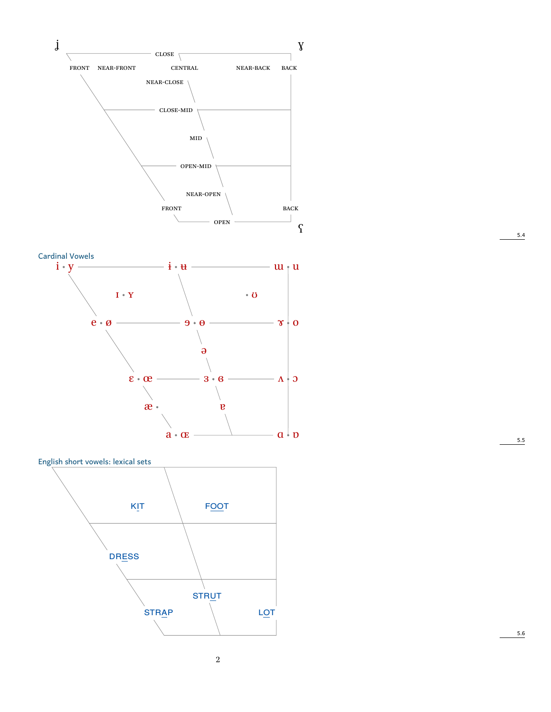





5.4

 $5.5$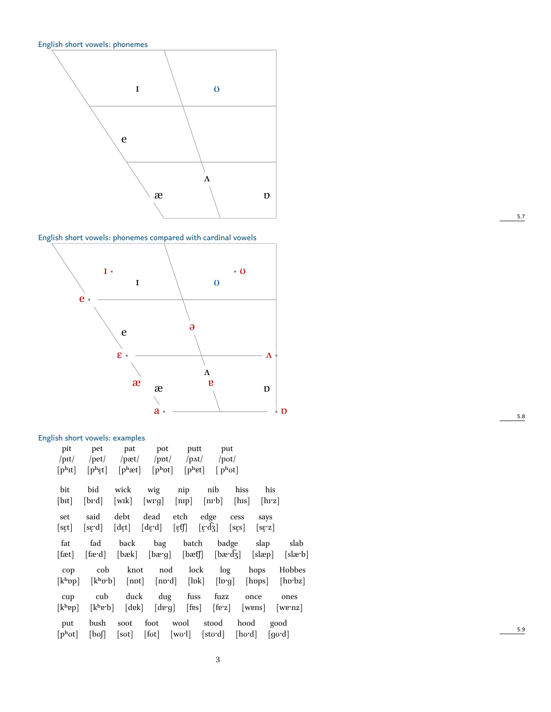English short vowels: phonemes



English short vowels: phonemes compared with cardinal vowels



#### English short vowels: examples

| pit<br>$/$ pit $/$<br>$[p^h$ It]      | pet<br>/pet/                                           | pat<br>/pæt/<br>$[$ p <sup>h</sup> æt] | pot<br>$\mathsf{ppt}$<br>$[p^{\mathrm{h}}\mathrm{pt}]$ | putt<br>/pat/<br>$\lceil p^{\text{h}}et \rceil$ |                                                          | put<br>/pot/<br>$[p^h \sigma t]$ |                 |                                   |
|---------------------------------------|--------------------------------------------------------|----------------------------------------|--------------------------------------------------------|-------------------------------------------------|----------------------------------------------------------|----------------------------------|-----------------|-----------------------------------|
| bit                                   | $[\mathrm{p^h}\mathrm{\varepsilon} \mathrm{t}]$<br>bid | wick                                   | wig                                                    | nip                                             | nib                                                      | hiss                             | his             |                                   |
| [bɪt]                                 | [brd]                                                  | $[\text{wik}]$                         | [wrg]                                                  | [nip]                                           | [nrb]                                                    | [ <sub>his</sub> ]               | [hrz]           |                                   |
| set<br>[sɛ̯t]                         | said<br>[sqd]                                          | debt<br>[dɛ̯t]                         | dead<br>[dɛ̞·d]                                        | etch<br>$[\mathfrak{eff}]$                      | edge<br>[ $\varepsilon$ ' $\mathrm{d}\mathrm{\bar{3}}$ ] | cess<br>[ss]                     | says<br>[sɛ̞·z] |                                   |
| fat<br>[fæt]                          | fad<br>[fæ·d]                                          | back<br>[bæk]                          | bag<br>$[$ bæ $\mathbf{g}]$                            | batch<br>$[$ bæf $]$                            |                                                          | badge<br>$[\text{bædz}]$         | slap<br>[slæp]  | slab<br>$[s\mathbf{le}^{\cdot}b]$ |
| cop                                   | cob                                                    | knot                                   | nod                                                    | lock                                            | log                                                      |                                  | hops            | Hobbes                            |
| [k <sup>h</sup> op]                   | $[k^h v^b]$                                            | [npt]                                  | [nɒ·d]                                                 | $[\text{lbk}]$                                  | [ln g]                                                   |                                  | [hpps]          | $[$ hp $bz]$                      |
| cup<br>[k <sup>h</sup> ep]            | cub<br>$[k^h\mathbf{e}^{\cdot}\mathbf{b}]$             | duck<br>[dek]                          | dug<br>[deg]                                           | fuss<br>$[$ fes $]$                             | fuzz<br>$[$ fe'z $]$                                     |                                  | once<br>[wens]  | ones<br>[we·nz]                   |
| put<br>$[p^{\mathrm{h}} \mathrm{ot}]$ | bush<br>$[$ bof]                                       | soot<br>$\lceil \text{sort} \rceil$    | foot<br>$[$ fot $]$                                    | wool<br>[wo'l]                                  | stood<br>[stʊ·d]                                         | hood<br>[hʊ·d]                   | good<br>[gʊ·d]  |                                   |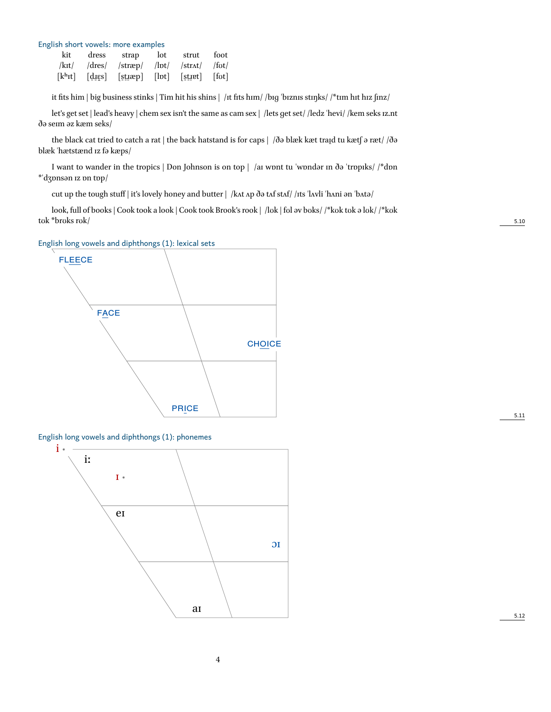| English short vowels: more examples |  |                                                                   |  |       |      |  |  |  |  |  |
|-------------------------------------|--|-------------------------------------------------------------------|--|-------|------|--|--|--|--|--|
|                                     |  | kit dress strap lot                                               |  | strut | foot |  |  |  |  |  |
|                                     |  | $ kxt $ $ dres $ $ strap $ $ lvt $ $ strat $ $ fvt $              |  |       |      |  |  |  |  |  |
|                                     |  | $[kh$ <sup>rt</sup> ] $[dies]$ $[sizep]$ $[bt]$ $[stjet]$ $[tot]$ |  |       |      |  |  |  |  |  |

it fits him | big business stinks | Tim hit his shins | /ɪt fits hɪm/ /bɪɡ ˈbɪznɪs stɪŋks/ /\*tɪm hɪt hɪz ʃɪnz/

let's get set | lead's heavy | chem sex isn't the same as cam sex | /lets ɡet set/ /ledz ˈhevi/ /kem seks ɪz.nt ðə seɪm əz kæm seks/

the black cat tried to catch a rat | the back hatstand is for caps | /ðə blæk kæt traid tu kætf ə ræt/ /ðə blæk ˈhætstænd ɪz fə kæps/

I want to wander in the tropics | Don Johnson is on top | /aɪ wɒnt tu ˈwɒndər ɪn ðə ˈtrɒpɪks/ /\*dɒn \*ˈdʒɒnsən ɪz ɒn tɒp/

cut up the tough stuff | it's lovely honey and butter | /kʌt ʌp ðə tʌf stʌf/ /ɪts ˈlʌvli ˈhʌni ən ˈbʌtə/

look, full of books | Cook took a look | Cook took Brook's rook | /lʊk | fʊl əv bʊks/ /\*kʊk tʊk ə lʊk/ /\*kʊk tʊk \*brʊks rʊk/ 5.10

English long vowels and diphthongs (1): lexical sets



English long vowels and diphthongs (1): phonemes



5.12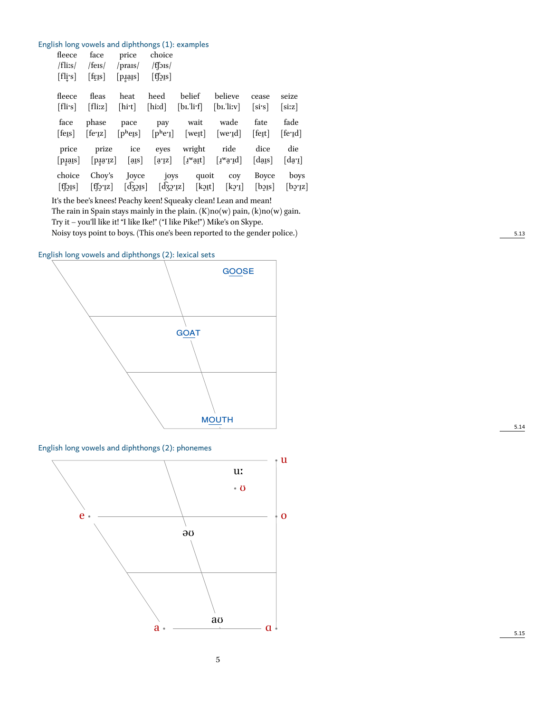#### English long vowels and diphthongs (1): examples

| fleece<br>$/$ fli:s $/$                  | face<br>$/$ fers $/$     | price<br>$/$ prais $/$                     | choice<br>$/f$ [ $\frac{1}{2}$ IS $/$         |                                                                         |                                                                                                                 |                             |                            |
|------------------------------------------|--------------------------|--------------------------------------------|-----------------------------------------------|-------------------------------------------------------------------------|-----------------------------------------------------------------------------------------------------------------|-----------------------------|----------------------------|
| [fli's]                                  | [fig]                    | $[p\bar{i}q\bar{j}s]$                      | $[$ f[ $2$ $[$ $s]$ ]                         |                                                                         |                                                                                                                 |                             |                            |
| fleece                                   | fleas                    | heat                                       | heed                                          | belief                                                                  | believe                                                                                                         | cease                       | seize                      |
| [flis]                                   | [fliz]                   | [hit]                                      | [hiːd]                                        | [b <sub>I</sub> .']i <sup>T</sup>                                       | $[b_1, 'liiv]$                                                                                                  | [sis]                       | [six]                      |
| face                                     | phase                    | pace                                       | pay                                           | wait                                                                    | wade                                                                                                            | fate                        | fade                       |
| [fers]                                   | $[$ fe $z]$              |                                            |                                               | $[p^{\rm h}$ egs $[p^{\rm h}$ egs $[w^{\rm e}$ gt]                      | [we <sub>'I</sub> d]                                                                                            | $[$ fe $\mathfrak{g}$ t $]$ | [ferid]                    |
| price                                    | prize                    | ice                                        | eyes                                          | wright                                                                  | ride                                                                                                            | dice                        | die                        |
| $[\overline{\text{p\textsubscript{q}}}]$ | [pia.is]                 | $[\,\overline{\text{a} \text{a}}\text{s}]$ | $[a\,z]$                                      | $\left[ \texttt{1}^{\text{w}} \texttt{a} \texttt{1} \texttt{t} \right]$ | $\left[ \underline{\mathbf{v}}^{\mathbf{w}} \underline{\mathbf{a}}^{\mathbf{v}} \underline{\mathbf{d}} \right]$ | [daɪs]                      | $\lceil \text{day} \rceil$ |
| choice                                   | Chov's                   | Joyce                                      | joys                                          |                                                                         | quoit coy                                                                                                       | Boyce                       | boys                       |
| $[$ f $[$ $\delta$ ıs $]$                | $\lceil \text{f} \rceil$ |                                            | $\lceil d_{32} \rceil$ $\lceil d_{32} \rceil$ |                                                                         | $[kqyt]$ $[kq^r]$                                                                                               | $[bq\$                      | [by:z]                     |
|                                          |                          |                                            |                                               |                                                                         |                                                                                                                 |                             |                            |

It's the bee's knees! Peachy keen! Squeaky clean! Lean and mean!

The rain in Spain stays mainly in the plain.  $(K)no(w)$  pain,  $(k)no(w)$  gain. Try it – you'll like it! "I like Ike!" ("I like Pike!") Mike's on Skype.

Noisy toys point to boys. (This one's been reported to the gender police.) 5.13

English long vowels and diphthongs (2): lexical sets



English long vowels and diphthongs (2): phonemes

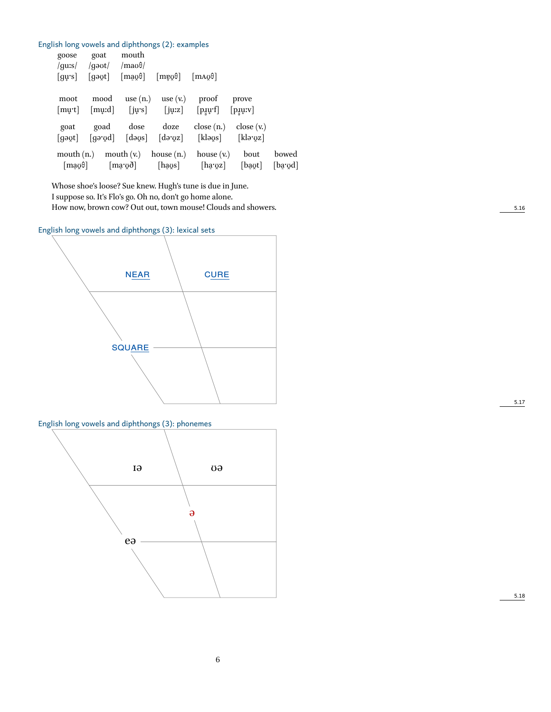| English long vowels and diphthongs (2): examples |                              |                                                         |                  |                                  |         |
|--------------------------------------------------|------------------------------|---------------------------------------------------------|------------------|----------------------------------|---------|
| goat<br>goose                                    | mouth                        |                                                         |                  |                                  |         |
| /guːs/<br>/gəʊt/                                 | $/$ mao $\theta/$            |                                                         |                  |                                  |         |
| [gəʊ̯t]<br>[gurs]                                | $\lceil \text{mag0} \rceil$  | $[m\negthinspace \omega \theta]$                        | max0             |                                  |         |
|                                                  |                              |                                                         |                  |                                  |         |
| moot                                             | use $(n.)$<br>mood           | use $(v.)$                                              | proof            | prove                            |         |
| [murt]                                           | $[j\psi s]$<br>[mu:d]        | $[j\mu z]$                                              | $[p_1qr_1]$      | $[p_{\text{I}}\psi_{\text{IV}}]$ |         |
| goad<br>goat                                     | dose                         | doze                                                    | close(n.)        | close(x)                         |         |
| [gəʊt]                                           | $\lceil \text{gə'gd} \rceil$ | $\lceil \text{days} \rceil$ $\lceil \text{dayz} \rceil$ | [klə $\sigma$ s] | $[k]$ argz]                      |         |
|                                                  |                              |                                                         |                  |                                  |         |
| mouth $(n.)$                                     | mouth $(vn)$                 | house $(n.)$                                            | house $(v.)$     | bout                             | bowed   |
| $\lfloor \text{maq0} \rfloor$                    | $[\text{max} \delta]$        | [haʊ̯s]                                                 | $[$ ha· $yz]$    | [bayt]                           | [bargd] |

Whose shoe's loose? Sue knew. Hugh's tune is due in June. I suppose so. It's Flo's go. Oh no, don't go home alone. How now, brown cow? Out out, town mouse! Clouds and showers. 5.16

English long vowels and diphthongs (3): lexical sets



English long vowels and diphthongs (3): phonemes



5.17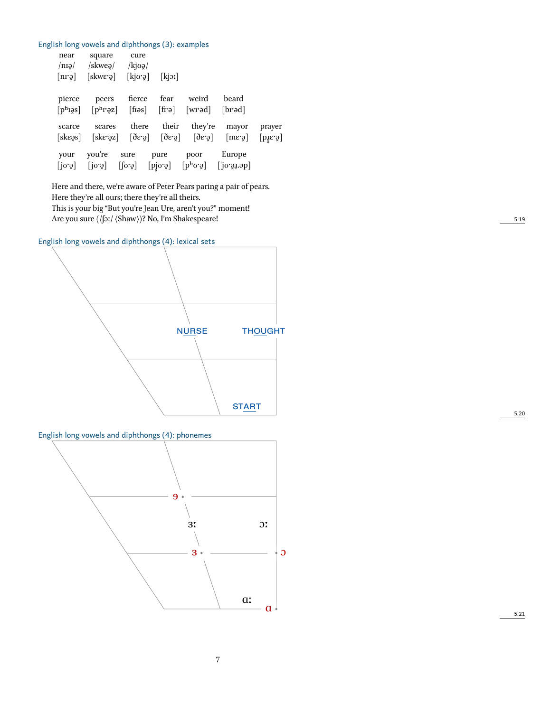|  |  |  |  |  |  |  |  |  |  | English long vowels and diphthongs (3): examples |  |
|--|--|--|--|--|--|--|--|--|--|--------------------------------------------------|--|
|--|--|--|--|--|--|--|--|--|--|--------------------------------------------------|--|

| near                          | square cure                                                                                                                                       |  |                  |                                                                                                            |                            |
|-------------------------------|---------------------------------------------------------------------------------------------------------------------------------------------------|--|------------------|------------------------------------------------------------------------------------------------------------|----------------------------|
|                               | $\ln q$ /skweg/ /kj $\log$                                                                                                                        |  |                  |                                                                                                            |                            |
| $\lceil n r \vartheta \rceil$ | $[skweg]$ $[kj\sigma g]$ $[kj\sigma]$                                                                                                             |  |                  |                                                                                                            |                            |
|                               |                                                                                                                                                   |  |                  | beard                                                                                                      |                            |
|                               | pierce peers fierce fear weird                                                                                                                    |  |                  |                                                                                                            |                            |
|                               | $[ph$ <i>i</i> gs] $[ph$ <i>i</i> <sup>o</sup> gz] [fiios] $[ph$ <i>igs</i> ] [prod]                                                              |  |                  |                                                                                                            |                            |
| scarce                        | scares                                                                                                                                            |  |                  | there their they're mayor prayer                                                                           |                            |
|                               | $[sk\epsilon\alpha\beta]$ $[sk\epsilon\gamma\alpha\beta]$ $[\delta\epsilon\gamma\alpha]$ $[\delta\epsilon\gamma\alpha]$ $[m\epsilon\gamma\alpha]$ |  |                  |                                                                                                            | $[\overline{\text{bias}}]$ |
|                               |                                                                                                                                                   |  |                  |                                                                                                            |                            |
| your                          | you're sure                                                                                                                                       |  | pure poor Europe |                                                                                                            |                            |
|                               |                                                                                                                                                   |  |                  | $[j\sigma\phi]$ $[j\sigma\phi]$ $[j\sigma\phi]$ $[pj\sigma\phi]$ $[p^h\sigma\phi]$ $[j\sigma\phi\phi\phi]$ |                            |
|                               |                                                                                                                                                   |  |                  |                                                                                                            |                            |

Here and there, we're aware of Peter Pears paring a pair of pears. Here they're all ours; there they're all theirs. This is your big "But you're Jean Ure, aren't you?" moment! Are you sure (/ʃɔː/  $\langle$ Shaw $\rangle$ )? No, I'm Shakespeare! 5.19

English long vowels and diphthongs (4): lexical sets



English long vowels and diphthongs (4): phonemes

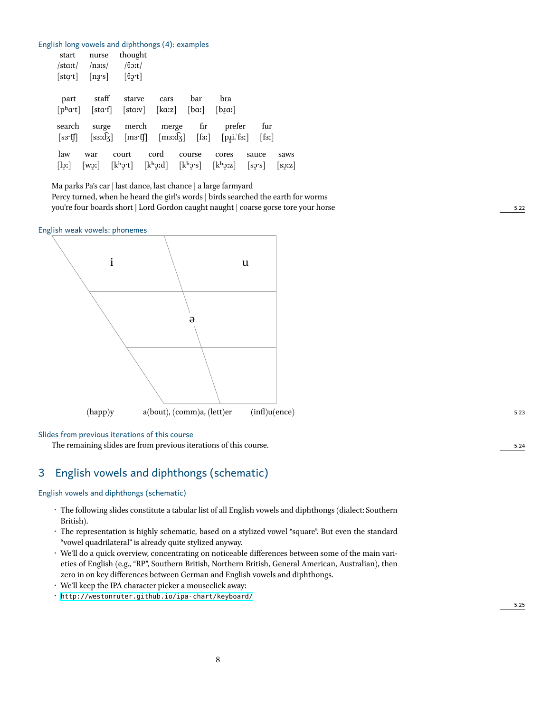|                |                       | English long vowels and diphthongs (4): examples                                                                                                                                                                                                                     |      |           |        |                        |       |
|----------------|-----------------------|----------------------------------------------------------------------------------------------------------------------------------------------------------------------------------------------------------------------------------------------------------------------|------|-----------|--------|------------------------|-------|
| start          | nurse                 | thought                                                                                                                                                                                                                                                              |      |           |        |                        |       |
| /staːt/        | /n3!s/                | / $\theta$ oːt/                                                                                                                                                                                                                                                      |      |           |        |                        |       |
| [sta·t]        | $[n3s]$ $[\theta 2r]$ |                                                                                                                                                                                                                                                                      |      |           |        |                        |       |
|                |                       |                                                                                                                                                                                                                                                                      |      |           |        |                        |       |
| part           | staff                 | starve                                                                                                                                                                                                                                                               | cars | bar       | bra    |                        |       |
|                |                       | $[phat]$ [sta·f] [staːv] [kaːz] [baː]                                                                                                                                                                                                                                |      |           | [box]  |                        |       |
|                |                       |                                                                                                                                                                                                                                                                      |      |           |        |                        |       |
| search         | surge                 | merch                                                                                                                                                                                                                                                                |      | merge fir | prefer | fur                    |       |
| [s3`f]         |                       | $[s3:dg]$ $[m3:ff]$ $[m3:dg]$ $[fs!]$                                                                                                                                                                                                                                |      |           |        | $[p_1i.F_3r]$ $[f_3r]$ |       |
| law            | war                   | court                                                                                                                                                                                                                                                                | cord | course    | cores  | sauce                  | saws  |
| $[\text{lgr}]$ | [wo]                  | $[k^h$ ; $[k^h$ ; $k^h$ ; $[k^h$ ; $k^h$ ; $[k^h$ ; $k^h$ ; $[k^h$ ; $k^h$ ; $[k^h$ ; $k^h$ ; $[k^h$ ; $k^h$ ; $k^h$ ; $k^h$ ; $k^h$ ; $k^h$ ; $k^h$ ; $k^h$ ; $k^h$ ; $k^h$ ; $k^h$ ; $k^h$ ; $k^h$ ; $k^h$ ; $k^h$ ; $k^h$ ; $k^h$ ; $k^h$ ; $k^h$ ; $k^h$ ; $k^h$ |      |           |        |                        | [s2z] |
|                |                       |                                                                                                                                                                                                                                                                      |      |           |        |                        |       |

Ma parks Pa's car | last dance, last chance | a large farmyard

Percy turned, when he heard the girl's words | birds searched the earth for worms you're four boards short | Lord Gordon caught naught | coarse gorse tore your horse 5.22

English weak vowels: phonemes



#### Slides from previous iterations of this course

The remaining slides are from previous iterations of this course.  $5.24$ 

# 3 English vowels and diphthongs (schematic)

#### English vowels and diphthongs (schematic)

- The following slides constitute a tabular list of all English vowels and diphthongs (dialect: Southern British).
- The representation is highly schematic, based on a stylized vowel "square". But even the standard "vowel quadrilateral" is already quite stylized anyway.
- We'll do a quick overview, concentrating on noticeable differences between some of the main varieties of English (e.g., "RP", Southern British, Northern British, General American, Australian), then zero in on key differences between German and English vowels and diphthongs.
- We'll keep the IPA character picker a mouseclick away:
- <http://westonruter.github.io/ipa-chart/keyboard/>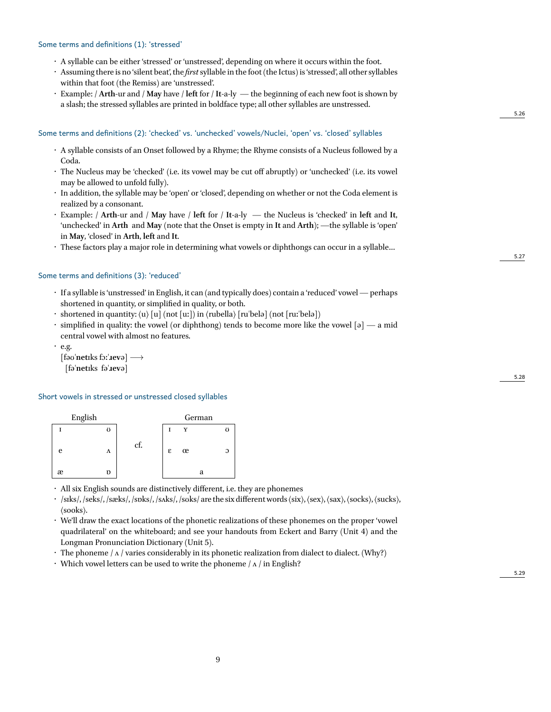#### Some terms and definitions (1): 'stressed'

- A syllable can be either 'stressed' or 'unstressed', depending on where it occurs within the foot.
- Assuming there is no 'silent beat', the *first* syllable in the foot (the Ictus) is 'stressed', all other syllables within that foot (the Remiss) are 'unstressed'.
- Example: / **Arth**-ur and / **May** have / **left** for / **It**-a-ly the beginning of each new foot is shown by a slash; the stressed syllables are printed in boldface type; all other syllables are unstressed.

#### Some terms and definitions (2): 'checked' vs. 'unchecked' vowels/Nuclei, 'open' vs. 'closed' syllables

- A syllable consists of an Onset followed by a Rhyme; the Rhyme consists of a Nucleus followed by a Coda.
- The Nucleus may be 'checked' (i.e. its vowel may be cut off abruptly) or 'unchecked' (i.e. its vowel may be allowed to unfold fully).
- In addition, the syllable may be 'open' or 'closed', depending on whether or not the Coda element is realized by a consonant.
- Example: / **Arth**-ur and / **May** have / **left** for / **It**-a-ly the Nucleus is 'checked' in **left** and **It**, 'unchecked' in **Arth** and **May** (note that the Onset is empty in **It** and **Arth**); —the syllable is 'open' in **May**, 'closed' in **Arth**, **left** and **It**.
- These factors play a major role in determining what vowels or diphthongs can occur in a syllable…

#### Some terms and definitions (3): 'reduced'

- If a syllable is 'unstressed' in English, it can (and typically does) contain a 'reduced' vowel— perhaps shortened in quantity, or simplified in quality, or both.
- $\cdot$  shortened in quantity:  $\langle u \rangle$  [u] (not [uː]) in  $\langle \text{rubella} \rangle$  [ruˈbelə] (not [ruːˈbelə])
- $\cdot$  simplified in quality: the vowel (or diphthong) tends to become more like the vowel [ə] a mid central vowel with almost no features.
- $\cdot$  e.g.

[fəʊ**ˈnet**ɪks fɔː**ˈɹev**ə] *−→* [fə**ˈnet**ɪks fə**ˈɹev**ə]

#### Short vowels in stressed or unstressed closed syllables

|   | English |     |   |   | German |  |
|---|---------|-----|---|---|--------|--|
|   | Ω       |     | T | Y |        |  |
| e | Λ       | cf. | ε | œ |        |  |
| æ |         |     |   |   |        |  |

• All six English sounds are distinctively different, i.e. they are phonemes

- /sɪks/, /seks/, /sæks/, /sɒks/, /sʌks/, /sʊks/ are the six differentwords ⟨six⟩, ⟨sex⟩, ⟨sax⟩, ⟨socks⟩, ⟨sucks⟩, ⟨sooks⟩.
- We'll draw the exact locations of the phonetic realizations of these phonemes on the proper 'vowel quadrilateral' on the whiteboard; and see your handouts from Eckert and Barry (Unit 4) and the Longman Pronunciation Dictionary (Unit 5).
- $\cdot$  The phoneme /  $\Lambda$  / varies considerably in its phonetic realization from dialect to dialect. (Why?)
- Which vowel letters can be used to write the phoneme  $/\alpha$  / in English?

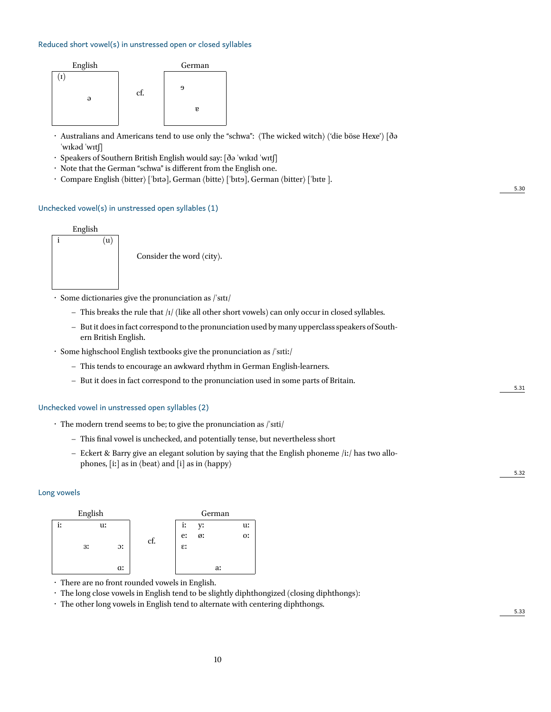#### Reduced short vowel(s) in unstressed open or closed syllables



- Australians and Americans tend to use only the "schwa": ⟨The wicked witch⟩ ('die böse Hexe') [ðə ˈwɪkəd ˈwɪtʃ]
- Speakers of Southern British English would say: [ðə ˈwɪkɪd ˈwɪtʃ]
- Note that the German "schwa" is different from the English one.
- Compare English  $\langle$  bitter $\rangle$  ['bɪtə], German  $\langle$  bitte $\rangle$  ['bɪtə], German  $\langle$  bitter $\rangle$  ['bɪtɐ].

#### Unchecked vowel(s) in unstressed open syllables (1)



• Some dictionaries give the pronunciation as /ˈsɪtɪ/

- **–** This breaks the rule that /ɪ/ (like all other short vowels) can only occur in closed syllables.
- **–** But it does in fact correspond to the pronunciation used by many upperclass speakers of Southern British English.
- Some highschool English textbooks give the pronunciation as /ˈsɪtiː/
	- **–** This tends to encourage an awkward rhythm in German English-learners.
	- **–** But it does in fact correspond to the pronunciation used in some parts of Britain.

#### Unchecked vowel in unstressed open syllables (2)

- The modern trend seems to be; to give the pronunciation as /ˈsɪti/
	- **–** This final vowel is unchecked, and potentially tense, but nevertheless short
	- **–** Eckert & Barry give an elegant solution by saying that the English phoneme /iː/ has two allophones, [iː] as in ⟨beat⟩ and [i] as in ⟨happy⟩

#### Long vowels



• There are no front rounded vowels in English.

• The long close vowels in English tend to be slightly diphthongized (closing diphthongs):

• The other long vowels in English tend to alternate with centering diphthongs.

5.30

5.31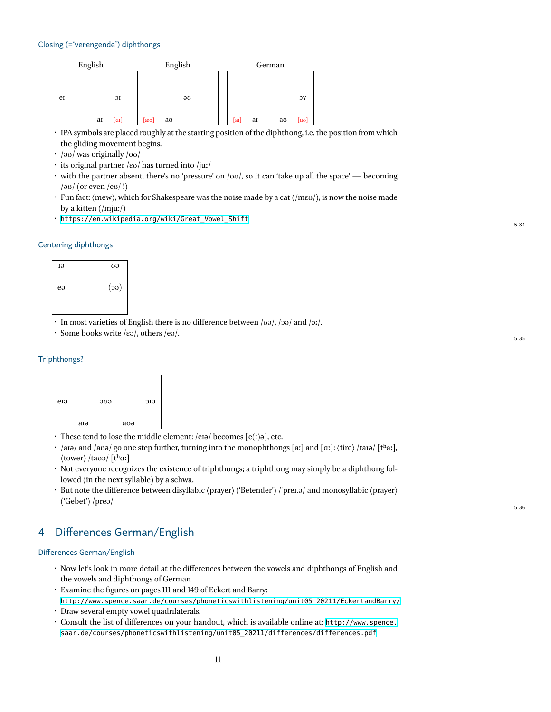#### Closing (='verengende') diphthongs

|    | English |                |      |    | English |    |    | German |     |
|----|---------|----------------|------|----|---------|----|----|--------|-----|
|    |         |                |      |    |         |    |    |        |     |
| er |         | J <sub>I</sub> |      |    | əυ      |    |    |        | ЭY  |
|    | aı      | [aɪ]           | [æʊ] | aσ |         | aɪ | aı | aσ     | lασ |

• IPA symbols are placed roughly at the starting position of the diphthong, i.e. the position from which the gliding movement begins.

• /əʊ/ was originally /oʊ/

- its original partner /ɛʊ/ has turned into /juː/
- $\cdot$  with the partner absent, there's no 'pressure' on /oʊ/, so it can 'take up all the space' becoming  $/\partial \sigma$  (or even  $/\partial \sigma$ !)
- Fun fact: ⟨mew⟩, which for Shakespeare was the noise made by a cat (/mɛʊ/), is now the noise made by a kitten (/mju:/)
- [https://en.wikipedia.org/wiki/Great\\_Vowel\\_Shift](https://en.wikipedia.org/wiki/Great_Vowel_Shift)

#### Centering diphthongs



• In most varieties of English there is no difference between /ʊə/, /ɔə/ and /ɔː/.

• Some books write /ɛə/, others /eə/.

#### Triphthongs?



- $\cdot$  These tend to lose the middle element: /eɪə/ becomes [e(ː)ə], etc.
- /aɪə/ and /aʊə/ go one step further, turning into the monophthongs [aː] and [aː]:  $\langle$ tire $\rangle$ /taɪə/ [tʰaː], ⟨tower⟩ /taʊə/ [tʰɑː]
- Not everyone recognizes the existence of triphthongs; a triphthong may simply be a diphthong followed (in the next syllable) by a schwa.
- But note the difference between disyllabic ⟨prayer⟩ ('Betender') /ˈpreɪ.ə/ and monosyllabic ⟨prayer⟩ ('Gebet') /preə/

# 4 Differences German/English

#### Differences German/English

- Now let's look in more detail at the differences between the vowels and diphthongs of English and the vowels and diphthongs of German
- Examine the figures on pages 111 and 149 of Eckert and Barry: [http://www.spence.saar.de/courses/phoneticswithlistening/unit05\\_20211/EckertandBarry/](http://www.spence.saar.de/courses/phoneticswithlistening/unit05_20211/EckertandBarry/)
- Draw several empty vowel quadrilaterals.
- Consult the list of differences on your handout, which is available online at: [http://www.spence.](http://www.spence.saar.de/courses/phoneticswithlistening/unit05_20211/differences/differences.pdf) [saar.de/courses/phoneticswithlistening/unit05\\_20211/differences/differences.pdf](http://www.spence.saar.de/courses/phoneticswithlistening/unit05_20211/differences/differences.pdf)